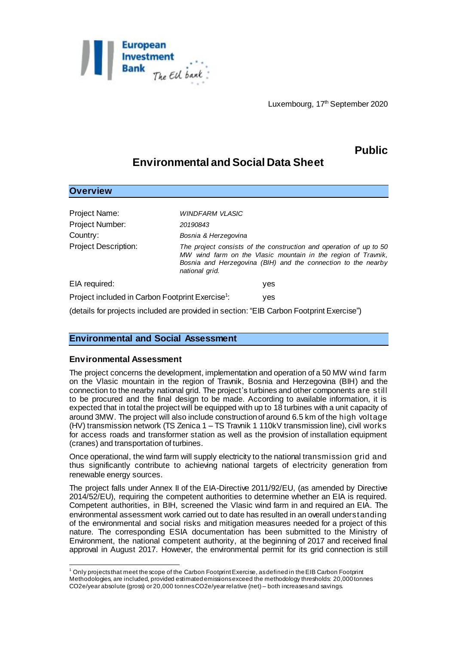

# **Public**

## **Environmental and Social Data Sheet**

| <b>Overview</b>                                              |                                                                                                                                                                                                                        |
|--------------------------------------------------------------|------------------------------------------------------------------------------------------------------------------------------------------------------------------------------------------------------------------------|
| Project Name:<br>Project Number:                             | <b>WINDFARM VLASIC</b><br>20190843                                                                                                                                                                                     |
| Country:                                                     | Bosnia & Herzegovina                                                                                                                                                                                                   |
| <b>Project Description:</b>                                  | The project consists of the construction and operation of up to 50<br>MW wind farm on the Vlasic mountain in the region of Travnik,<br>Bosnia and Herzegovina (BIH) and the connection to the nearby<br>national grid. |
| EIA required:                                                | yes                                                                                                                                                                                                                    |
| Project included in Carbon Footprint Exercise <sup>1</sup> : | ves                                                                                                                                                                                                                    |
|                                                              | (details for projects included are provided in section: "EIB Carbon Footprint Exercise")                                                                                                                               |

## **Environmental and Social Assessment**

### **Environmental Assessment**

The project concerns the development, implementation and operation of a 50 MW wind farm on the Vlasic mountain in the region of Travnik, Bosnia and Herzegovina (BIH) and the connection to the nearby national grid. The project's turbines and other components are still to be procured and the final design to be made. According to available information, it is expected that in total the project will be equipped with up to 18 turbines with a unit capacity of around 3MW. The project will also include construction of around 6.5 km of the high voltage (HV) transmission network (TS Zenica 1 – TS Travnik 1 110kV transmission line), civil works for access roads and transformer station as well as the provision of installation equipment (cranes) and transportation of turbines.

Once operational, the wind farm will supply electricity to the national transmission grid and thus significantly contribute to achieving national targets of electricity generation from renewable energy sources.

The project falls under Annex II of the EIA-Directive 2011/92/EU, (as amended by Directive 2014/52/EU), requiring the competent authorities to determine whether an EIA is required. Competent authorities, in BIH, screened the Vlasic wind farm in and required an EIA. The environmental assessment work carried out to date has resulted in an overall understanding of the environmental and social risks and mitigation measures needed for a project of this nature. The corresponding ESIA documentation has been submitted to the Ministry of Environment, the national competent authority, at the beginning of 2017 and received final approval in August 2017. However, the environmental permit for its grid connection is still

l <sup>1</sup> Only projects that meet the scope of the Carbon Footprint Exercise, as defined in the EIB Carbon Footprint Methodologies, are included, provided estimated emissions exceed the methodology thresholds: 20,000 tonnes CO2e/year absolute (gross) or 20,000 tonnes CO2e/year relative (net) – both increases and savings.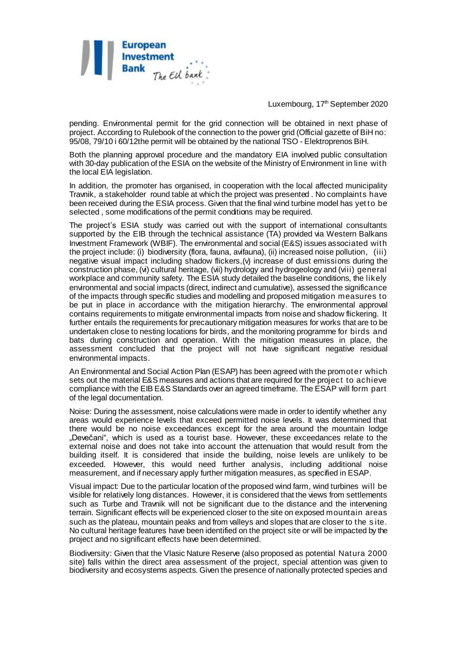

pending. Environmental permit for the grid connection will be obtained in next phase of project. According to Rulebook of the connection to the power grid (Official gazette of BiH no: 95/08, 79/10 i 60/12the permit will be obtained by the national TSO - Elektroprenos BiH.

Both the planning approval procedure and the mandatory EIA involved public consultation with 30-day publication of the ESIA on the website of the Ministry of Environment in line with the local EIA legislation.

In addition, the promoter has organised, in cooperation with the local affected municipality Travnik, a stakeholder round table at which the project was presented . No complaints have been received during the ESIA process. Given that the final wind turbine model has yet to be selected , some modifications of the permit conditions may be required.

The project's ESIA study was carried out with the support of international consultants supported by the EIB through the technical assistance (TA) provided via Western Balkans Investment Framework (WBIF). The environmental and social (E&S) issues associated with the project include: (i) biodiversity (flora, fauna, avifauna), (ii) increased noise pollution, (iii) negative visual impact including shadow flickers,(v) increase of dust emissions during the construction phase, (vi) cultural heritage, (vii) hydrology and hydrogeology and (viii) general workplace and community safety. The ESIA study detailed the baseline conditions, the likely environmental and social impacts (direct, indirect and cumulative), assessed the significance of the impacts through specific studies and modelling and proposed mitigation measures to be put in place in accordance with the mitigation hierarchy. The environmental approval contains requirements to mitigate environmental impacts from noise and shadow flickering. It further entails the requirements for precautionary mitigation measures for works that are to be undertaken close to nesting locations for birds, and the monitoring programme for birds and bats during construction and operation. With the mitigation measures in place, the assessment concluded that the project will not have significant negative residual environmental impacts.

An Environmental and Social Action Plan (ESAP) has been agreed with the promote r which sets out the material E&S measures and actions that are required for the project to achieve compliance with the EIB E&S Standards over an agreed timeframe. The ESAP will form part of the legal documentation.

Noise: During the assessment, noise calculations were made in order to identify whether any areas would experience levels that exceed permitted noise levels. It was determined that there would be no noise exceedances except for the area around the mountain lodge "Devečani", which is used as a tourist base. However, these exceedances relate to the external noise and does not take into account the attenuation that would result from the building itself. It is considered that inside the building, noise levels are unlikely to be exceeded. However, this would need further analysis, including additional noise measurement, and if necessary apply further mitigation measures, as specified in ESAP.

Visual impact: Due to the particular location of the proposed wind farm, wind turbines will be visible for relatively long distances. However, it is considered that the views from settlements such as Turbe and Travnik will not be significant due to the distance and the intervening terrain. Significant effects will be experienced closer to the site on exposed mountain areas such as the plateau, mountain peaks and from valleys and slopes that are closer to the s ite. No cultural heritage features have been identified on the project site or will be impacted by the project and no significant effects have been determined.

Biodiversity: Given that the Vlasic Nature Reserve (also proposed as potential Natura 2000 site) falls within the direct area assessment of the project, special attention was given to biodiversity and ecosystems aspects. Given the presence of nationally protected species and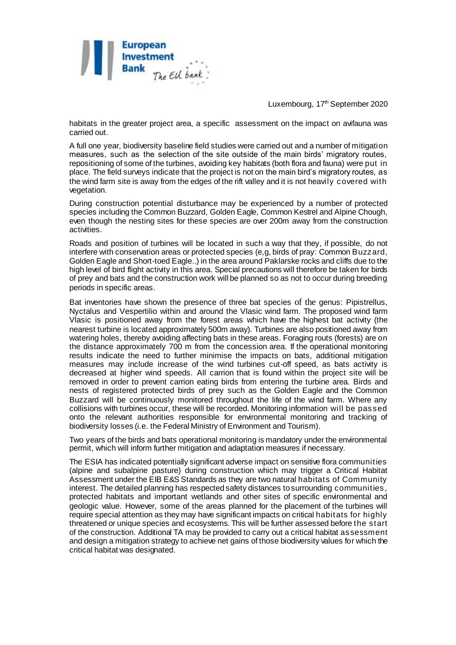

habitats in the greater project area, a specific assessment on the impact on avifauna was carried out.

A full one year, biodiversity baseline field studies were carried out and a number of mitigation measures, such as the selection of the site outside of the main birds' migratory routes, repositioning of some of the turbines, avoiding key habitats (both flora and fauna) were put in place. The field surveys indicate that the project is not on the main bird's migratory routes, as the wind farm site is away from the edges of the rift valley and it is not heavily covered with vegetation.

During construction potential disturbance may be experienced by a number of protected species including the Common Buzzard, Golden Eagle, Common Kestrel and Alpine Chough, even though the nesting sites for these species are over 200m away from the construction activities.

Roads and position of turbines will be located in such a way that they, if possible, do not interfere with conservation areas or protected species (e,g, birds of pray: Common Buzzard, Golden Eagle and Short-toed Eagle..) in the area around Paklarske rocks and cliffs due to the high level of bird flight activity in this area. Special precautions will therefore be taken for birds of prey and bats and the construction work will be planned so as not to occur during breeding periods in specific areas.

Bat inventories have shown the presence of three bat species of the genus: Pipistrellus, Nyctalus and Vespertilio within and around the Vlasic wind farm. The proposed wind farm Vlasic is positioned away from the forest areas which have the highest bat activity (the nearest turbine is located approximately 500m away). Turbines are also positioned away from watering holes, thereby avoiding affecting bats in these areas. Foraging routs (forests) are on the distance approximately 700 m from the concession area. If the operational monitoring results indicate the need to further minimise the impacts on bats, additional mitigation measures may include increase of the wind turbines cut-off speed, as bats activity is decreased at higher wind speeds. All carrion that is found within the project site will be removed in order to prevent carrion eating birds from entering the turbine area. Birds and nests of registered protected birds of prey such as the Golden Eagle and the Common Buzzard will be continuously monitored throughout the life of the wind farm. Where any collisions with turbines occur, these will be recorded. Monitoring information will be passed onto the relevant authorities responsible for environmental monitoring and tracking of biodiversity losses (i.e. the Federal Ministry of Environment and Tourism).

Two years of the birds and bats operational monitoring is mandatory under the environmental permit, which will inform further mitigation and adaptation measures if necessary.

The ESIA has indicated potentially significant adverse impact on sensitive flora communities (alpine and subalpine pasture) during construction which may trigger a Critical Habitat Assessment under the EIB E&S Standards as they are two natural habitats of Community interest. The detailed planning has respected safety distances to surrounding communities, protected habitats and important wetlands and other sites of specific environmental and geologic value. However, some of the areas planned for the placement of the turbines will require special attention as they may have significant impacts on critical habitats for highly threatened or unique species and ecosystems. This will be further assessed before the start of the construction. Additional TA may be provided to carry out a critical habitat assessment and design a mitigation strategy to achieve net gains of those biodiversity values for which the critical habitat was designated.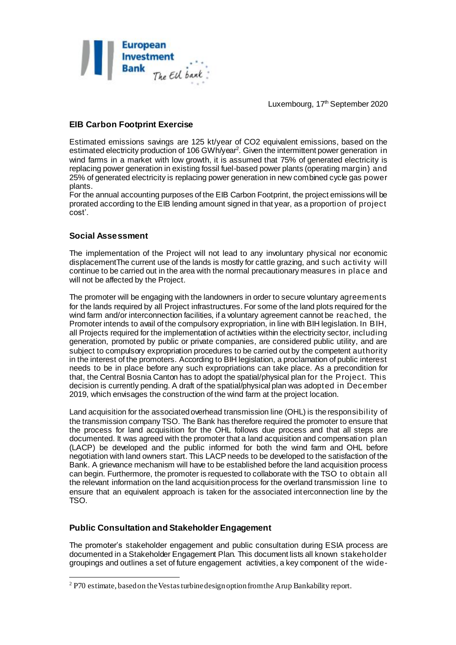

## **EIB Carbon Footprint Exercise**

Estimated emissions savings are 125 kt/year of CO2 equivalent emissions, based on the estimated electricity production of 106 GWh/year<sup>2</sup>. Given the intermittent power generation in wind farms in a market with low growth, it is assumed that 75% of generated electricity is replacing power generation in existing fossil fuel-based power plants (operating margin) and 25% of generated electricity is replacing power generation in new combined cycle gas power plants.

For the annual accounting purposes of the EIB Carbon Footprint, the project emissions will be prorated according to the EIB lending amount signed in that year, as a proportion of project cost'.

## **Social Assessment**

l

The implementation of the Project will not lead to any involuntary physical nor economic displacementThe current use of the lands is mostly for cattle grazing, and such activity will continue to be carried out in the area with the normal precautionary measures in place and will not be affected by the Project.

The promoter will be engaging with the landowners in order to secure voluntary agreements for the lands required by all Project infrastructures. For some of the land plots required for the wind farm and/or interconnection facilities, if a voluntary agreement cannot be reached, the Promoter intends to avail of the compulsory expropriation, in line with BIH legislation. In BIH, all Projects required for the implementation of activities within the electricity sector, including generation, promoted by public or private companies, are considered public utility, and are subject to compulsory expropriation procedures to be carried out by the competent authority in the interest of the promoters. According to BIH legislation, a proclamation of public interest needs to be in place before any such expropriations can take place. As a precondition for that, the Central Bosnia Canton has to adopt the spatial/physical plan for the Project. This decision is currently pending. A draft of the spatial/physical plan was adopted in December 2019, which envisages the construction of the wind farm at the project location.

Land acquisition for the associated overhead transmission line (OHL) is the responsibility of the transmission company TSO. The Bank has therefore required the promoter to ensure that the process for land acquisition for the OHL follows due process and that all steps are documented. It was agreed with the promoter that a land acquisition and compensation plan (LACP) be developed and the public informed for both the wind farm and OHL before negotiation with land owners start. This LACP needs to be developed to the satisfaction of the Bank. A grievance mechanism will have to be established before the land acquisition process can begin. Furthermore, the promoter is requested to collaborate with the TSO to obtain all the relevant information on the land acquisition process for the overland transmission line to ensure that an equivalent approach is taken for the associated interconnection line by the TSO.

## **Public Consultation and Stakeholder Engagement**

The promoter's stakeholder engagement and public consultation during ESIA process are documented in a Stakeholder Engagement Plan. This document lists all known stakeholder groupings and outlines a set of future engagement activities, a key component of the wide-

<sup>&</sup>lt;sup>2</sup> P70 estimate, based on the Vestas turbine design option from the Arup Bankability report.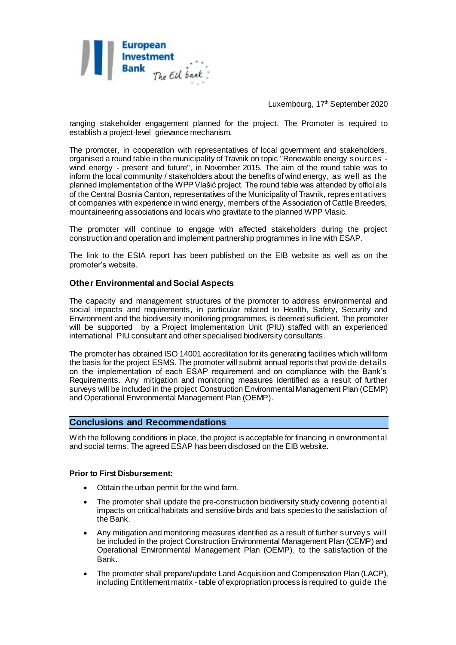

ranging stakeholder engagement planned for the project. The Promoter is required to establish a project-level grievance mechanism.

The promoter, in cooperation with representatives of local government and stakeholders, organised a round table in the municipality of Travnik on topic "Renewable energy sources wind energy - present and future", in November 2015. The aim of the round table was to inform the local community / stakeholders about the benefits of wind energy, as well as the planned implementation of the WPP Vlašić project. The round table was attended by officials of the Central Bosnia Canton, representatives of the Municipality of Travnik, representatives of companies with experience in wind energy, members of the Association of Cattle Breeders, mountaineering associations and locals who gravitate to the planned WPP Vlasic.

The promoter will continue to engage with affected stakeholders during the project construction and operation and implement partnership programmes in line with ESAP.

The link to the ESIA report has been published on the EIB website as well as on the promoter's website.

### **Other Environmental and Social Aspects**

The capacity and management structures of the promoter to address environmental and social impacts and requirements, in particular related to Health, Safety, Security and Environment and the biodiversity monitoring programmes, is deemed sufficient. The promoter will be supported by a Project Implementation Unit (PIU) staffed with an experienced international PIU consultant and other specialised biodiversity consultants.

The promoter has obtained ISO 14001 accreditation for its generating facilities which will form the basis for the project ESMS. The promoter will submit annual reports that provide details on the implementation of each ESAP requirement and on compliance with the Bank's Requirements. Any mitigation and monitoring measures identified as a result of further surveys will be included in the project Construction Environmental Management Plan (CEMP) and Operational Environmental Management Plan (OEMP).

#### **Conclusions and Recommendations**

With the following conditions in place, the project is acceptable for financing in environmental and social terms. The agreed ESAP has been disclosed on the EIB website.

#### **Prior to First Disbursement:**

- Obtain the urban permit for the wind farm.
- The promoter shall update the pre-construction biodiversity study covering potential impacts on critical habitats and sensitive birds and bats species to the satisfaction of the Bank.
- Any mitigation and monitoring measures identified as a result of further surveys will be included in the project Construction Environmental Management Plan (CEMP) and Operational Environmental Management Plan (OEMP), to the satisfaction of the Bank.
- The promoter shall prepare/update Land Acquisition and Compensation Plan (LACP), including Entitlement matrix - table of expropriation process is required to guide the